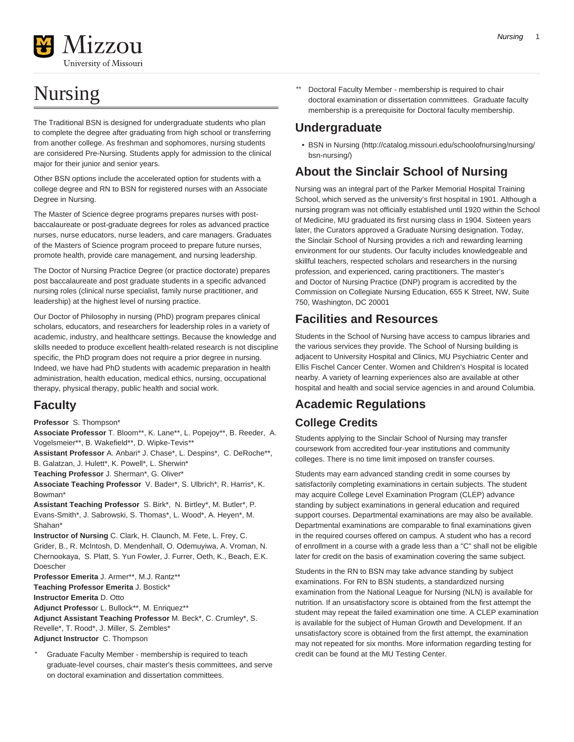# Nursing

The Traditional BSN is designed for undergraduate students who plan to complete the degree after graduating from high school or transferring from another college. As freshman and sophomores, nursing students are considered Pre-Nursing. Students apply for admission to the clinical major for their junior and senior years.

Other BSN options include the accelerated option for students with a college degree and RN to BSN for registered nurses with an Associate Degree in Nursing.

The Master of Science degree programs prepares nurses with postbaccalaureate or post-graduate degrees for roles as advanced practice nurses, nurse educators, nurse leaders, and care managers. Graduates of the Masters of Science program proceed to prepare future nurses, promote health, provide care management, and nursing leadership.

The Doctor of Nursing Practice Degree (or practice doctorate) prepares post baccalaureate and post graduate students in a specific advanced nursing roles (clinical nurse specialist, family nurse practitioner, and leadership) at the highest level of nursing practice.

Our Doctor of Philosophy in nursing (PhD) program prepares clinical scholars, educators, and researchers for leadership roles in a variety of academic, industry, and healthcare settings. Because the knowledge and skills needed to produce excellent health-related research is not discipline specific, the PhD program does not require a prior degree in nursing. Indeed, we have had PhD students with academic preparation in health administration, health education, medical ethics, nursing, occupational therapy, physical therapy, public health and social work.

## **Faculty**

**Professor** S. Thompson\*

**Associate Professor** T. Bloom\*\*, K. Lane\*\*, L. Popejoy\*\*, B. Reeder, A. Vogelsmeier\*\*, B. Wakefield\*\*, D. Wipke-Tevis\*\*

**Assistant Professor** A. Anbari\* J. Chase\*, L. Despins\*, C. DeRoche\*\*, B. Galatzan, J. Hulett\*, K. Powell\*, L. Sherwin\*

**Teaching Professor** J. Sherman\*, G. Oliver\*

**Associate Teaching Professor** V. Bader\*, S. Ulbrich\*, R. Harris\*, K. Bowman<sup>\*</sup>

**Assistant Teaching Professor** S. Birk\*, N. Birtley\*, M. Butler\*, P. Evans-Smith\*, J. Sabrowski, S. Thomas\*, L. Wood\*, A. Heyen\*, M. Shahan\*

**Instructor of Nursing** C. Clark, H. Claunch, M. Fete, L. Frey, C. Grider, B., R. McIntosh, D. Mendenhall, O. Odemuyiwa, A. Vroman, N. Chernookaya, S. Platt, S. Yun Fowler, J. Furrer, Oeth, K., Beach, E.K. Doescher

**Professor Emerita** J. Armer\*\*, M.J. Rantz\*\* **Teaching Professor Emerita** J. Bostick\* **Instructor Emerita** D. Otto

**Adjunct Professo**r L. Bullock\*\*, M. Enriquez\*\*

**Adjunct Assistant Teaching Professor** M. Beck\*, C. Crumley\*, S. Revelle\*, T. Rood\*, J. Miller, S. Zembles\* **Adjunct Instructor** C. Thompson

Graduate Faculty Member - membership is required to teach graduate-level courses, chair master's thesis committees, and serve on doctoral examination and dissertation committees.

Doctoral Faculty Member - membership is required to chair doctoral examination or dissertation committees. Graduate faculty membership is a prerequisite for Doctoral faculty membership.

# **Undergraduate**

• [BSN in Nursing](http://catalog.missouri.edu/schoolofnursing/nursing/bsn-nursing/) ([http://catalog.missouri.edu/schoolofnursing/nursing/](http://catalog.missouri.edu/schoolofnursing/nursing/bsn-nursing/) [bsn-nursing/](http://catalog.missouri.edu/schoolofnursing/nursing/bsn-nursing/))

## **About the Sinclair School of Nursing**

Nursing was an integral part of the Parker Memorial Hospital Training School, which served as the university's first hospital in 1901. Although a nursing program was not officially established until 1920 within the School of Medicine, MU graduated its first nursing class in 1904. Sixteen years later, the Curators approved a Graduate Nursing designation. Today, the Sinclair School of Nursing provides a rich and rewarding learning environment for our students. Our faculty includes knowledgeable and skillful teachers, respected scholars and researchers in the nursing profession, and experienced, caring practitioners. The master's and Doctor of Nursing Practice (DNP) program is accredited by the Commission on Collegiate Nursing Education, 655 K Street, NW, Suite 750, Washington, DC 20001

## **Facilities and Resources**

Students in the School of Nursing have access to campus libraries and the various services they provide. The School of Nursing building is adjacent to University Hospital and Clinics, MU Psychiatric Center and Ellis Fischel Cancer Center. Women and Children's Hospital is located nearby. A variety of learning experiences also are available at other hospital and health and social service agencies in and around Columbia.

# **Academic Regulations**

## **College Credits**

Students applying to the Sinclair School of Nursing may transfer coursework from accredited four-year institutions and community colleges. There is no time limit imposed on transfer courses.

Students may earn advanced standing credit in some courses by satisfactorily completing examinations in certain subjects. The student may acquire College Level Examination Program (CLEP) advance standing by subject examinations in general education and required support courses. Departmental examinations are may also be available. Departmental examinations are comparable to final examinations given in the required courses offered on campus. A student who has a record of enrollment in a course with a grade less than a "C" shall not be eligible later for credit on the basis of examination covering the same subject.

Students in the RN to BSN may take advance standing by subject examinations. For RN to BSN students, a standardized nursing examination from the National League for Nursing (NLN) is available for nutrition. If an unsatisfactory score is obtained from the first attempt the student may repeat the failed examination one time. A CLEP examination is available for the subject of Human Growth and Development. If an unsatisfactory score is obtained from the first attempt, the examination may not repeated for six months. More information regarding testing for credit can be found at the MU Testing Center.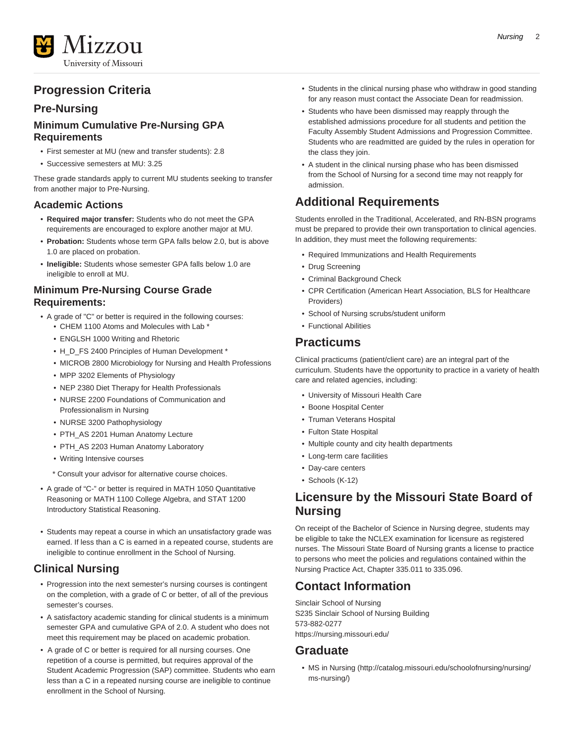

## **Progression Criteria**

## **Pre-Nursing**

### **Minimum Cumulative Pre-Nursing GPA Requirements**

- First semester at MU (new and transfer students): 2.8
- Successive semesters at MU: 3.25

These grade standards apply to current MU students seeking to transfer from another major to Pre-Nursing.

### **Academic Actions**

- **Required major transfer:** Students who do not meet the GPA requirements are encouraged to explore another major at MU.
- **Probation:** Students whose term GPA falls below 2.0, but is above 1.0 are placed on probation.
- **Ineligible:** Students whose semester GPA falls below 1.0 are ineligible to enroll at MU.

## **Minimum Pre-Nursing Course Grade Requirements:**

- A grade of "C" or better is required in the following courses:
	- CHEM 1100 Atoms and Molecules with Lab \*
	- ENGLSH 1000 Writing and Rhetoric
	- H\_D\_FS 2400 Principles of Human Development \*
	- MICROB 2800 Microbiology for Nursing and Health Professions
	- MPP 3202 Elements of Physiology
	- NEP 2380 Diet Therapy for Health Professionals
	- NURSE 2200 Foundations of Communication and Professionalism in Nursing
	- NURSE 3200 Pathophysiology
	- PTH\_AS 2201 Human Anatomy Lecture
	- PTH\_AS 2203 Human Anatomy Laboratory
	- Writing Intensive courses
	- \* Consult your advisor for alternative course choices.
- A grade of "C-" or better is required in MATH 1050 Quantitative Reasoning or MATH 1100 College Algebra, and STAT 1200 Introductory Statistical Reasoning.
- Students may repeat a course in which an unsatisfactory grade was earned. If less than a C is earned in a repeated course, students are ineligible to continue enrollment in the School of Nursing.

## **Clinical Nursing**

- Progression into the next semester's nursing courses is contingent on the completion, with a grade of C or better, of all of the previous semester's courses.
- A satisfactory academic standing for clinical students is a minimum semester GPA and cumulative GPA of 2.0. A student who does not meet this requirement may be placed on academic probation.
- A grade of C or better is required for all nursing courses. One repetition of a course is permitted, but requires approval of the Student Academic Progression (SAP) committee. Students who earn less than a C in a repeated nursing course are ineligible to continue enrollment in the School of Nursing.
- Students in the clinical nursing phase who withdraw in good standing for any reason must contact the Associate Dean for readmission.
- Students who have been dismissed may reapply through the established admissions procedure for all students and petition the Faculty Assembly Student Admissions and Progression Committee. Students who are readmitted are guided by the rules in operation for the class they join.
- A student in the clinical nursing phase who has been dismissed from the School of Nursing for a second time may not reapply for admission.

## **Additional Requirements**

Students enrolled in the Traditional, Accelerated, and RN-BSN programs must be prepared to provide their own transportation to clinical agencies. In addition, they must meet the following requirements:

- Required Immunizations and Health Requirements
- Drug Screening
- Criminal Background Check
- CPR Certification (American Heart Association, BLS for Healthcare Providers)
- School of Nursing scrubs/student uniform
- Functional Abilities

## **Practicums**

Clinical practicums (patient/client care) are an integral part of the curriculum. Students have the opportunity to practice in a variety of health care and related agencies, including:

- University of Missouri Health Care
- Boone Hospital Center
- Truman Veterans Hospital
- Fulton State Hospital
- Multiple county and city health departments
- Long-term care facilities
- Day-care centers
- Schools (K-12)

## **Licensure by the Missouri State Board of Nursing**

On receipt of the Bachelor of Science in Nursing degree, students may be eligible to take the NCLEX examination for licensure as registered nurses. The Missouri State Board of Nursing grants a license to practice to persons who meet the policies and regulations contained within the Nursing Practice Act, Chapter 335.011 to 335.096.

## **Contact Information**

Sinclair School of Nursing S235 Sinclair School of Nursing Building 573-882-0277 <https://nursing.missouri.edu/>

## **Graduate**

• [MS in Nursing](http://catalog.missouri.edu/schoolofnursing/nursing/ms-nursing/) [\(http://catalog.missouri.edu/schoolofnursing/nursing/](http://catalog.missouri.edu/schoolofnursing/nursing/ms-nursing/) [ms-nursing/\)](http://catalog.missouri.edu/schoolofnursing/nursing/ms-nursing/)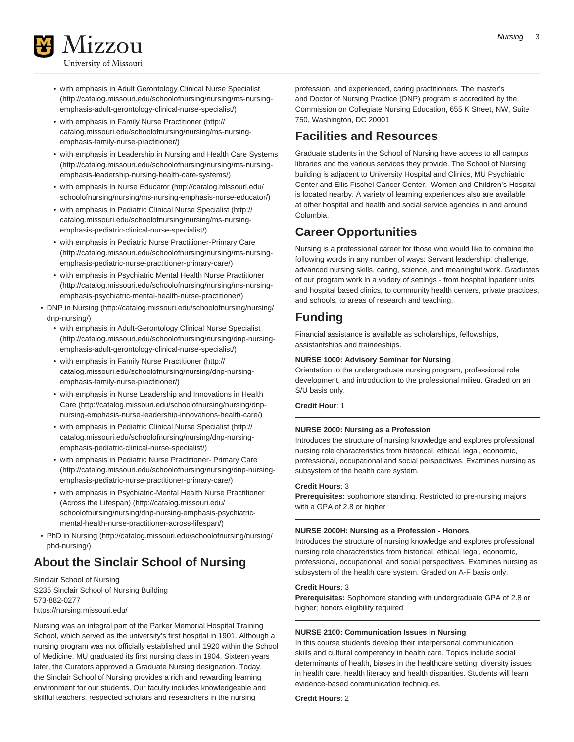

- [with emphasis in Adult Gerontology Clinical Nurse Specialist](http://catalog.missouri.edu/schoolofnursing/nursing/ms-nursing-emphasis-adult-gerontology-clinical-nurse-specialist/) ([http://catalog.missouri.edu/schoolofnursing/nursing/ms-nursing](http://catalog.missouri.edu/schoolofnursing/nursing/ms-nursing-emphasis-adult-gerontology-clinical-nurse-specialist/)[emphasis-adult-gerontology-clinical-nurse-specialist/\)](http://catalog.missouri.edu/schoolofnursing/nursing/ms-nursing-emphasis-adult-gerontology-clinical-nurse-specialist/)
- [with emphasis in Family Nurse Practitioner](http://catalog.missouri.edu/schoolofnursing/nursing/ms-nursing-emphasis-family-nurse-practitioner/) [\(http://](http://catalog.missouri.edu/schoolofnursing/nursing/ms-nursing-emphasis-family-nurse-practitioner/) [catalog.missouri.edu/schoolofnursing/nursing/ms-nursing](http://catalog.missouri.edu/schoolofnursing/nursing/ms-nursing-emphasis-family-nurse-practitioner/)[emphasis-family-nurse-practitioner/\)](http://catalog.missouri.edu/schoolofnursing/nursing/ms-nursing-emphasis-family-nurse-practitioner/)
- [with emphasis in Leadership in Nursing and Health Care Systems](http://catalog.missouri.edu/schoolofnursing/nursing/ms-nursing-emphasis-leadership-nursing-health-care-systems/) ([http://catalog.missouri.edu/schoolofnursing/nursing/ms-nursing](http://catalog.missouri.edu/schoolofnursing/nursing/ms-nursing-emphasis-leadership-nursing-health-care-systems/)[emphasis-leadership-nursing-health-care-systems/\)](http://catalog.missouri.edu/schoolofnursing/nursing/ms-nursing-emphasis-leadership-nursing-health-care-systems/)
- [with emphasis in Nurse Educator](http://catalog.missouri.edu/schoolofnursing/nursing/ms-nursing-emphasis-nurse-educator/) ([http://catalog.missouri.edu/](http://catalog.missouri.edu/schoolofnursing/nursing/ms-nursing-emphasis-nurse-educator/) [schoolofnursing/nursing/ms-nursing-emphasis-nurse-educator/\)](http://catalog.missouri.edu/schoolofnursing/nursing/ms-nursing-emphasis-nurse-educator/)
- [with emphasis in Pediatric Clinical Nurse Specialist](http://catalog.missouri.edu/schoolofnursing/nursing/ms-nursing-emphasis-pediatric-clinical-nurse-specialist/) [\(http://](http://catalog.missouri.edu/schoolofnursing/nursing/ms-nursing-emphasis-pediatric-clinical-nurse-specialist/) [catalog.missouri.edu/schoolofnursing/nursing/ms-nursing](http://catalog.missouri.edu/schoolofnursing/nursing/ms-nursing-emphasis-pediatric-clinical-nurse-specialist/)[emphasis-pediatric-clinical-nurse-specialist/](http://catalog.missouri.edu/schoolofnursing/nursing/ms-nursing-emphasis-pediatric-clinical-nurse-specialist/))
- [with emphasis in Pediatric Nurse Practitioner-Primary Care](http://catalog.missouri.edu/schoolofnursing/nursing/ms-nursing-emphasis-pediatric-nurse-practitioner-primary-care/) ([http://catalog.missouri.edu/schoolofnursing/nursing/ms-nursing](http://catalog.missouri.edu/schoolofnursing/nursing/ms-nursing-emphasis-pediatric-nurse-practitioner-primary-care/)[emphasis-pediatric-nurse-practitioner-primary-care/\)](http://catalog.missouri.edu/schoolofnursing/nursing/ms-nursing-emphasis-pediatric-nurse-practitioner-primary-care/)
- [with emphasis in Psychiatric Mental Health Nurse Practitioner](http://catalog.missouri.edu/schoolofnursing/nursing/ms-nursing-emphasis-psychiatric-mental-health-nurse-practitioner/) ([http://catalog.missouri.edu/schoolofnursing/nursing/ms-nursing](http://catalog.missouri.edu/schoolofnursing/nursing/ms-nursing-emphasis-psychiatric-mental-health-nurse-practitioner/)[emphasis-psychiatric-mental-health-nurse-practitioner/\)](http://catalog.missouri.edu/schoolofnursing/nursing/ms-nursing-emphasis-psychiatric-mental-health-nurse-practitioner/)
- [DNP in Nursing](http://catalog.missouri.edu/schoolofnursing/nursing/dnp-nursing/) [\(http://catalog.missouri.edu/schoolofnursing/nursing/](http://catalog.missouri.edu/schoolofnursing/nursing/dnp-nursing/) [dnp-nursing/](http://catalog.missouri.edu/schoolofnursing/nursing/dnp-nursing/))
	- [with emphasis in Adult-Gerontology Clinical Nurse Specialist](http://catalog.missouri.edu/schoolofnursing/nursing/dnp-nursing-emphasis-adult-gerontology-clinical-nurse-specialist/) ([http://catalog.missouri.edu/schoolofnursing/nursing/dnp-nursing](http://catalog.missouri.edu/schoolofnursing/nursing/dnp-nursing-emphasis-adult-gerontology-clinical-nurse-specialist/)[emphasis-adult-gerontology-clinical-nurse-specialist/\)](http://catalog.missouri.edu/schoolofnursing/nursing/dnp-nursing-emphasis-adult-gerontology-clinical-nurse-specialist/)
	- [with emphasis in Family Nurse Practitioner](http://catalog.missouri.edu/schoolofnursing/nursing/dnp-nursing-emphasis-family-nurse-practitioner/) [\(http://](http://catalog.missouri.edu/schoolofnursing/nursing/dnp-nursing-emphasis-family-nurse-practitioner/) [catalog.missouri.edu/schoolofnursing/nursing/dnp-nursing](http://catalog.missouri.edu/schoolofnursing/nursing/dnp-nursing-emphasis-family-nurse-practitioner/)[emphasis-family-nurse-practitioner/\)](http://catalog.missouri.edu/schoolofnursing/nursing/dnp-nursing-emphasis-family-nurse-practitioner/)
	- [with emphasis in Nurse Leadership and Innovations in Health](http://catalog.missouri.edu/schoolofnursing/nursing/dnp-nursing-emphasis-nurse-leadership-innovations-health-care/) [Care](http://catalog.missouri.edu/schoolofnursing/nursing/dnp-nursing-emphasis-nurse-leadership-innovations-health-care/) [\(http://catalog.missouri.edu/schoolofnursing/nursing/dnp](http://catalog.missouri.edu/schoolofnursing/nursing/dnp-nursing-emphasis-nurse-leadership-innovations-health-care/)[nursing-emphasis-nurse-leadership-innovations-health-care/](http://catalog.missouri.edu/schoolofnursing/nursing/dnp-nursing-emphasis-nurse-leadership-innovations-health-care/))
	- [with emphasis in Pediatric Clinical Nurse Specialist](http://catalog.missouri.edu/schoolofnursing/nursing/dnp-nursing-emphasis-pediatric-clinical-nurse-specialist/) [\(http://](http://catalog.missouri.edu/schoolofnursing/nursing/dnp-nursing-emphasis-pediatric-clinical-nurse-specialist/) [catalog.missouri.edu/schoolofnursing/nursing/dnp-nursing](http://catalog.missouri.edu/schoolofnursing/nursing/dnp-nursing-emphasis-pediatric-clinical-nurse-specialist/)[emphasis-pediatric-clinical-nurse-specialist/](http://catalog.missouri.edu/schoolofnursing/nursing/dnp-nursing-emphasis-pediatric-clinical-nurse-specialist/))
	- [with emphasis in Pediatric Nurse Practitioner- Primary Care](http://catalog.missouri.edu/schoolofnursing/nursing/dnp-nursing-emphasis-pediatric-nurse-practitioner-primary-care/) ([http://catalog.missouri.edu/schoolofnursing/nursing/dnp-nursing](http://catalog.missouri.edu/schoolofnursing/nursing/dnp-nursing-emphasis-pediatric-nurse-practitioner-primary-care/)[emphasis-pediatric-nurse-practitioner-primary-care/\)](http://catalog.missouri.edu/schoolofnursing/nursing/dnp-nursing-emphasis-pediatric-nurse-practitioner-primary-care/)
	- [with emphasis in Psychiatric-Mental Health Nurse Practitioner](http://catalog.missouri.edu/schoolofnursing/nursing/dnp-nursing-emphasis-psychiatric-mental-health-nurse-practitioner-across-lifespan/) [\(Across the Lifespan\) \(http://catalog.missouri.edu/](http://catalog.missouri.edu/schoolofnursing/nursing/dnp-nursing-emphasis-psychiatric-mental-health-nurse-practitioner-across-lifespan/) [schoolofnursing/nursing/dnp-nursing-emphasis-psychiatric](http://catalog.missouri.edu/schoolofnursing/nursing/dnp-nursing-emphasis-psychiatric-mental-health-nurse-practitioner-across-lifespan/)[mental-health-nurse-practitioner-across-lifespan/](http://catalog.missouri.edu/schoolofnursing/nursing/dnp-nursing-emphasis-psychiatric-mental-health-nurse-practitioner-across-lifespan/))
- [PhD in Nursing](http://catalog.missouri.edu/schoolofnursing/nursing/phd-nursing/) ([http://catalog.missouri.edu/schoolofnursing/nursing/](http://catalog.missouri.edu/schoolofnursing/nursing/phd-nursing/) [phd-nursing/](http://catalog.missouri.edu/schoolofnursing/nursing/phd-nursing/))

## **About the Sinclair School of Nursing**

Sinclair School of Nursing S235 Sinclair School of Nursing Building 573-882-0277 <https://nursing.missouri.edu/>

Nursing was an integral part of the Parker Memorial Hospital Training School, which served as the university's first hospital in 1901. Although a nursing program was not officially established until 1920 within the School of Medicine, MU graduated its first nursing class in 1904. Sixteen years later, the Curators approved a Graduate Nursing designation. Today, the Sinclair School of Nursing provides a rich and rewarding learning environment for our students. Our faculty includes knowledgeable and skillful teachers, respected scholars and researchers in the nursing

profession, and experienced, caring practitioners. The master's and Doctor of Nursing Practice (DNP) program is accredited by the Commission on Collegiate Nursing Education, 655 K Street, NW, Suite 750, Washington, DC 20001

## **Facilities and Resources**

Graduate students in the School of Nursing have access to all campus libraries and the various services they provide. The School of Nursing building is adjacent to University Hospital and Clinics, MU Psychiatric Center and Ellis Fischel Cancer Center. Women and Children's Hospital is located nearby. A variety of learning experiences also are available at other hospital and health and social service agencies in and around Columbia.

## **Career Opportunities**

Nursing is a professional career for those who would like to combine the following words in any number of ways: Servant leadership, challenge, advanced nursing skills, caring, science, and meaningful work. Graduates of our program work in a variety of settings - from hospital inpatient units and hospital based clinics, to community health centers, private practices, and schools, to areas of research and teaching.

## **Funding**

Financial assistance is available as scholarships, fellowships, assistantships and traineeships.

### **NURSE 1000: Advisory Seminar for Nursing**

Orientation to the undergraduate nursing program, professional role development, and introduction to the professional milieu. Graded on an S/U basis only.

**Credit Hour**: 1

### **NURSE 2000: Nursing as a Profession**

Introduces the structure of nursing knowledge and explores professional nursing role characteristics from historical, ethical, legal, economic, professional, occupational and social perspectives. Examines nursing as subsystem of the health care system.

### **Credit Hours**: 3

**Prerequisites:** sophomore standing. Restricted to pre-nursing majors with a GPA of 2.8 or higher

### **NURSE 2000H: Nursing as a Profession - Honors**

Introduces the structure of nursing knowledge and explores professional nursing role characteristics from historical, ethical, legal, economic, professional, occupational, and social perspectives. Examines nursing as subsystem of the health care system. Graded on A-F basis only.

### **Credit Hours**: 3

**Prerequisites:** Sophomore standing with undergraduate GPA of 2.8 or higher; honors eligibility required

### **NURSE 2100: Communication Issues in Nursing**

In this course students develop their interpersonal communication skills and cultural competency in health care. Topics include social determinants of health, biases in the healthcare setting, diversity issues in health care, health literacy and health disparities. Students will learn evidence-based communication techniques.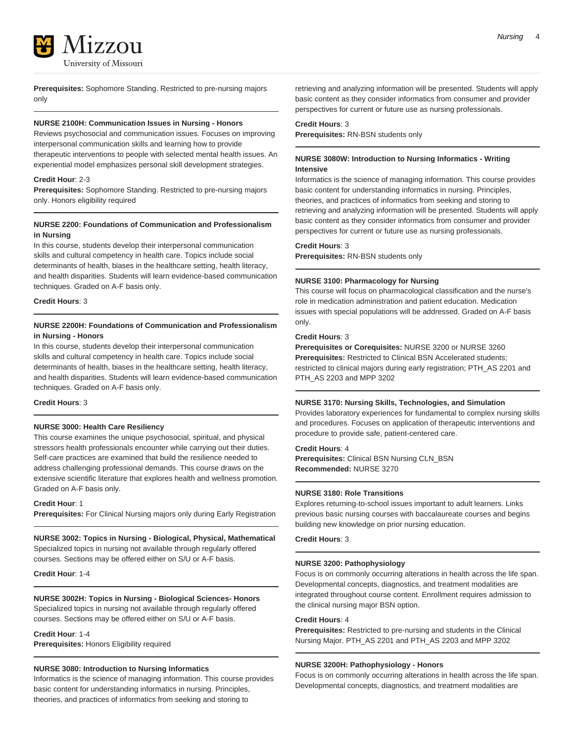

**Prerequisites:** Sophomore Standing. Restricted to pre-nursing majors only

### **NURSE 2100H: Communication Issues in Nursing - Honors**

Reviews psychosocial and communication issues. Focuses on improving interpersonal communication skills and learning how to provide therapeutic interventions to people with selected mental health issues. An experiential model emphasizes personal skill development strategies.

### **Credit Hour**: 2-3

**Prerequisites:** Sophomore Standing. Restricted to pre-nursing majors only. Honors eligibility required

### **NURSE 2200: Foundations of Communication and Professionalism in Nursing**

In this course, students develop their interpersonal communication skills and cultural competency in health care. Topics include social determinants of health, biases in the healthcare setting, health literacy, and health disparities. Students will learn evidence-based communication techniques. Graded on A-F basis only.

**Credit Hours**: 3

### **NURSE 2200H: Foundations of Communication and Professionalism in Nursing - Honors**

In this course, students develop their interpersonal communication skills and cultural competency in health care. Topics include social determinants of health, biases in the healthcare setting, health literacy, and health disparities. Students will learn evidence-based communication techniques. Graded on A-F basis only.

### **Credit Hours**: 3

### **NURSE 3000: Health Care Resiliency**

This course examines the unique psychosocial, spiritual, and physical stressors health professionals encounter while carrying out their duties. Self-care practices are examined that build the resilience needed to address challenging professional demands. This course draws on the extensive scientific literature that explores health and wellness promotion. Graded on A-F basis only.

**Credit Hour**: 1

**Prerequisites:** For Clinical Nursing majors only during Early Registration

**NURSE 3002: Topics in Nursing - Biological, Physical, Mathematical** Specialized topics in nursing not available through regularly offered courses. Sections may be offered either on S/U or A-F basis.

**Credit Hour**: 1-4

### **NURSE 3002H: Topics in Nursing - Biological Sciences- Honors**

Specialized topics in nursing not available through regularly offered courses. Sections may be offered either on S/U or A-F basis.

**Credit Hour**: 1-4 **Prerequisites:** Honors Eligibility required

### **NURSE 3080: Introduction to Nursing Informatics**

Informatics is the science of managing information. This course provides basic content for understanding informatics in nursing. Principles, theories, and practices of informatics from seeking and storing to

retrieving and analyzing information will be presented. Students will apply basic content as they consider informatics from consumer and provider perspectives for current or future use as nursing professionals.

### **Credit Hours**: 3

**Prerequisites:** RN-BSN students only

### **NURSE 3080W: Introduction to Nursing Informatics - Writing Intensive**

Informatics is the science of managing information. This course provides basic content for understanding informatics in nursing. Principles, theories, and practices of informatics from seeking and storing to retrieving and analyzing information will be presented. Students will apply basic content as they consider informatics from consumer and provider perspectives for current or future use as nursing professionals.

### **Credit Hours**: 3

**Prerequisites:** RN-BSN students only

### **NURSE 3100: Pharmacology for Nursing**

This course will focus on pharmacological classification and the nurse's role in medication administration and patient education. Medication issues with special populations will be addressed. Graded on A-F basis only.

### **Credit Hours**: 3

**Prerequisites or Corequisites:** NURSE 3200 or NURSE 3260 **Prerequisites:** Restricted to Clinical BSN Accelerated students; restricted to clinical majors during early registration; PTH\_AS 2201 and PTH\_AS 2203 and MPP 3202

### **NURSE 3170: Nursing Skills, Technologies, and Simulation**

Provides laboratory experiences for fundamental to complex nursing skills and procedures. Focuses on application of therapeutic interventions and procedure to provide safe, patient-centered care.

### **Credit Hours**: 4

**Prerequisites:** Clinical BSN Nursing CLN\_BSN **Recommended:** NURSE 3270

### **NURSE 3180: Role Transitions**

Explores returning-to-school issues important to adult learners. Links previous basic nursing courses with baccalaureate courses and begins building new knowledge on prior nursing education.

### **Credit Hours**: 3

#### **NURSE 3200: Pathophysiology**

Focus is on commonly occurring alterations in health across the life span. Developmental concepts, diagnostics, and treatment modalities are integrated throughout course content. Enrollment requires admission to the clinical nursing major BSN option.

#### **Credit Hours**: 4

**Prerequisites:** Restricted to pre-nursing and students in the Clinical Nursing Major. PTH\_AS 2201 and PTH\_AS 2203 and MPP 3202

### **NURSE 3200H: Pathophysiology - Honors**

Focus is on commonly occurring alterations in health across the life span. Developmental concepts, diagnostics, and treatment modalities are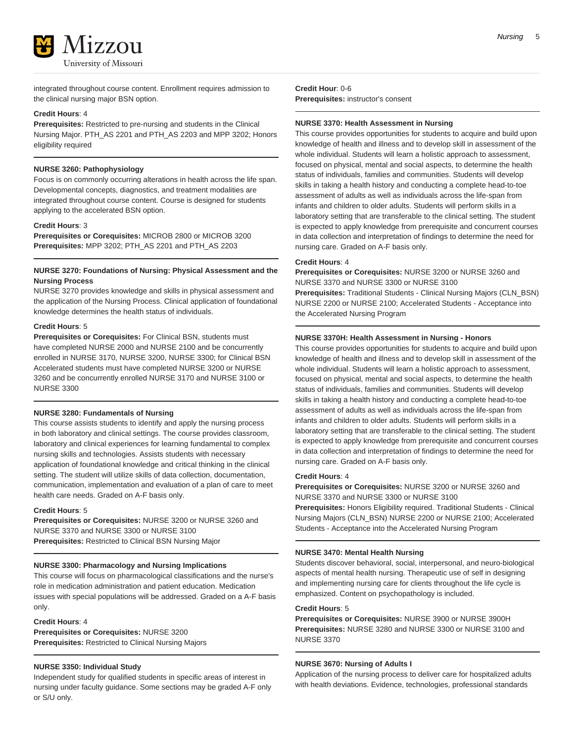

integrated throughout course content. Enrollment requires admission to the clinical nursing major BSN option.

### **Credit Hours**: 4

**Prerequisites:** Restricted to pre-nursing and students in the Clinical Nursing Major. PTH\_AS 2201 and PTH\_AS 2203 and MPP 3202; Honors eligibility required

### **NURSE 3260: Pathophysiology**

Focus is on commonly occurring alterations in health across the life span. Developmental concepts, diagnostics, and treatment modalities are integrated throughout course content. Course is designed for students applying to the accelerated BSN option.

### **Credit Hours**: 3

**Prerequisites or Corequisites:** MICROB 2800 or MICROB 3200 **Prerequisites:** MPP 3202; PTH\_AS 2201 and PTH\_AS 2203

### **NURSE 3270: Foundations of Nursing: Physical Assessment and the Nursing Process**

NURSE 3270 provides knowledge and skills in physical assessment and the application of the Nursing Process. Clinical application of foundational knowledge determines the health status of individuals.

### **Credit Hours**: 5

**Prerequisites or Corequisites:** For Clinical BSN, students must have completed NURSE 2000 and NURSE 2100 and be concurrently enrolled in NURSE 3170, NURSE 3200, NURSE 3300; for Clinical BSN Accelerated students must have completed NURSE 3200 or NURSE 3260 and be concurrently enrolled NURSE 3170 and NURSE 3100 or NURSE 3300

### **NURSE 3280: Fundamentals of Nursing**

This course assists students to identify and apply the nursing process in both laboratory and clinical settings. The course provides classroom, laboratory and clinical experiences for learning fundamental to complex nursing skills and technologies. Assists students with necessary application of foundational knowledge and critical thinking in the clinical setting. The student will utilize skills of data collection, documentation, communication, implementation and evaluation of a plan of care to meet health care needs. Graded on A-F basis only.

### **Credit Hours**: 5

**Prerequisites or Corequisites:** NURSE 3200 or NURSE 3260 and NURSE 3370 and NURSE 3300 or NURSE 3100 **Prerequisites:** Restricted to Clinical BSN Nursing Major

### **NURSE 3300: Pharmacology and Nursing Implications**

This course will focus on pharmacological classifications and the nurse's role in medication administration and patient education. Medication issues with special populations will be addressed. Graded on a A-F basis only.

### **Credit Hours**: 4

**Prerequisites or Corequisites:** NURSE 3200 **Prerequisites:** Restricted to Clinical Nursing Majors

### **NURSE 3350: Individual Study**

Independent study for qualified students in specific areas of interest in nursing under faculty guidance. Some sections may be graded A-F only or S/U only.

**Credit Hour**: 0-6 **Prerequisites:** instructor's consent

#### **NURSE 3370: Health Assessment in Nursing**

This course provides opportunities for students to acquire and build upon knowledge of health and illness and to develop skill in assessment of the whole individual. Students will learn a holistic approach to assessment, focused on physical, mental and social aspects, to determine the health status of individuals, families and communities. Students will develop skills in taking a health history and conducting a complete head-to-toe assessment of adults as well as individuals across the life-span from infants and children to older adults. Students will perform skills in a laboratory setting that are transferable to the clinical setting. The student is expected to apply knowledge from prerequisite and concurrent courses in data collection and interpretation of findings to determine the need for nursing care. Graded on A-F basis only.

### **Credit Hours**: 4

**Prerequisites or Corequisites:** NURSE 3200 or NURSE 3260 and NURSE 3370 and NURSE 3300 or NURSE 3100

**Prerequisites:** Traditional Students - Clinical Nursing Majors (CLN\_BSN) NURSE 2200 or NURSE 2100; Accelerated Students - Acceptance into the Accelerated Nursing Program

### **NURSE 3370H: Health Assessment in Nursing - Honors**

This course provides opportunities for students to acquire and build upon knowledge of health and illness and to develop skill in assessment of the whole individual. Students will learn a holistic approach to assessment, focused on physical, mental and social aspects, to determine the health status of individuals, families and communities. Students will develop skills in taking a health history and conducting a complete head-to-toe assessment of adults as well as individuals across the life-span from infants and children to older adults. Students will perform skills in a laboratory setting that are transferable to the clinical setting. The student is expected to apply knowledge from prerequisite and concurrent courses in data collection and interpretation of findings to determine the need for nursing care. Graded on A-F basis only.

### **Credit Hours**: 4

**Prerequisites or Corequisites:** NURSE 3200 or NURSE 3260 and NURSE 3370 and NURSE 3300 or NURSE 3100

**Prerequisites:** Honors Eligibility required. Traditional Students - Clinical Nursing Majors (CLN\_BSN) NURSE 2200 or NURSE 2100; Accelerated Students - Acceptance into the Accelerated Nursing Program

### **NURSE 3470: Mental Health Nursing**

Students discover behavioral, social, interpersonal, and neuro-biological aspects of mental health nursing. Therapeutic use of self in designing and implementing nursing care for clients throughout the life cycle is emphasized. Content on psychopathology is included.

### **Credit Hours**: 5

**Prerequisites or Corequisites:** NURSE 3900 or NURSE 3900H **Prerequisites:** NURSE 3280 and NURSE 3300 or NURSE 3100 and NURSE 3370

### **NURSE 3670: Nursing of Adults I**

Application of the nursing process to deliver care for hospitalized adults with health deviations. Evidence, technologies, professional standards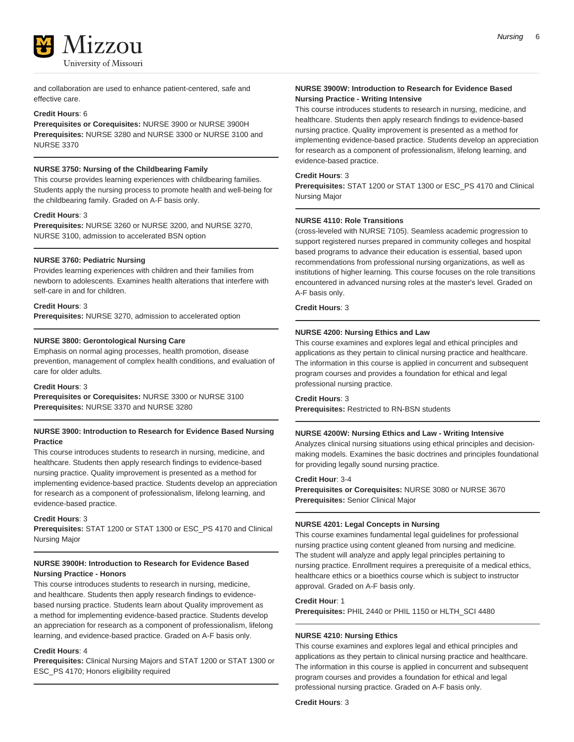

and collaboration are used to enhance patient-centered, safe and effective care.

### **Credit Hours**: 6

**Prerequisites or Corequisites:** NURSE 3900 or NURSE 3900H **Prerequisites:** NURSE 3280 and NURSE 3300 or NURSE 3100 and NURSE 3370

### **NURSE 3750: Nursing of the Childbearing Family**

This course provides learning experiences with childbearing families. Students apply the nursing process to promote health and well-being for the childbearing family. Graded on A-F basis only.

#### **Credit Hours**: 3

**Prerequisites:** NURSE 3260 or NURSE 3200, and NURSE 3270, NURSE 3100, admission to accelerated BSN option

### **NURSE 3760: Pediatric Nursing**

Provides learning experiences with children and their families from newborn to adolescents. Examines health alterations that interfere with self-care in and for children.

#### **Credit Hours**: 3

**Prerequisites:** NURSE 3270, admission to accelerated option

### **NURSE 3800: Gerontological Nursing Care**

Emphasis on normal aging processes, health promotion, disease prevention, management of complex health conditions, and evaluation of care for older adults.

**Credit Hours**: 3

**Prerequisites or Corequisites:** NURSE 3300 or NURSE 3100 **Prerequisites:** NURSE 3370 and NURSE 3280

### **NURSE 3900: Introduction to Research for Evidence Based Nursing Practice**

This course introduces students to research in nursing, medicine, and healthcare. Students then apply research findings to evidence-based nursing practice. Quality improvement is presented as a method for implementing evidence-based practice. Students develop an appreciation for research as a component of professionalism, lifelong learning, and evidence-based practice.

### **Credit Hours**: 3

**Prerequisites:** STAT 1200 or STAT 1300 or ESC\_PS 4170 and Clinical Nursing Major

### **NURSE 3900H: Introduction to Research for Evidence Based Nursing Practice - Honors**

This course introduces students to research in nursing, medicine, and healthcare. Students then apply research findings to evidencebased nursing practice. Students learn about Quality improvement as a method for implementing evidence-based practice. Students develop an appreciation for research as a component of professionalism, lifelong learning, and evidence-based practice. Graded on A-F basis only.

### **Credit Hours**: 4

**Prerequisites:** Clinical Nursing Majors and STAT 1200 or STAT 1300 or ESC\_PS 4170; Honors eligibility required

### **NURSE 3900W: Introduction to Research for Evidence Based Nursing Practice - Writing Intensive**

This course introduces students to research in nursing, medicine, and healthcare. Students then apply research findings to evidence-based nursing practice. Quality improvement is presented as a method for implementing evidence-based practice. Students develop an appreciation for research as a component of professionalism, lifelong learning, and evidence-based practice.

### **Credit Hours**: 3

**Prerequisites:** STAT 1200 or STAT 1300 or ESC\_PS 4170 and Clinical Nursing Major

### **NURSE 4110: Role Transitions**

(cross-leveled with NURSE 7105). Seamless academic progression to support registered nurses prepared in community colleges and hospital based programs to advance their education is essential, based upon recommendations from professional nursing organizations, as well as institutions of higher learning. This course focuses on the role transitions encountered in advanced nursing roles at the master's level. Graded on A-F basis only.

### **Credit Hours**: 3

#### **NURSE 4200: Nursing Ethics and Law**

This course examines and explores legal and ethical principles and applications as they pertain to clinical nursing practice and healthcare. The information in this course is applied in concurrent and subsequent program courses and provides a foundation for ethical and legal professional nursing practice.

### **Credit Hours**: 3

**Prerequisites:** Restricted to RN-BSN students

### **NURSE 4200W: Nursing Ethics and Law - Writing Intensive**

Analyzes clinical nursing situations using ethical principles and decisionmaking models. Examines the basic doctrines and principles foundational for providing legally sound nursing practice.

### **Credit Hour**: 3-4

**Prerequisites or Corequisites:** NURSE 3080 or NURSE 3670 **Prerequisites:** Senior Clinical Major

### **NURSE 4201: Legal Concepts in Nursing**

This course examines fundamental legal guidelines for professional nursing practice using content gleaned from nursing and medicine. The student will analyze and apply legal principles pertaining to nursing practice. Enrollment requires a prerequisite of a medical ethics, healthcare ethics or a bioethics course which is subject to instructor approval. Graded on A-F basis only.

### **Credit Hour**: 1

**Prerequisites:** PHIL 2440 or PHIL 1150 or HLTH\_SCI 4480

#### **NURSE 4210: Nursing Ethics**

This course examines and explores legal and ethical principles and applications as they pertain to clinical nursing practice and healthcare. The information in this course is applied in concurrent and subsequent program courses and provides a foundation for ethical and legal professional nursing practice. Graded on A-F basis only.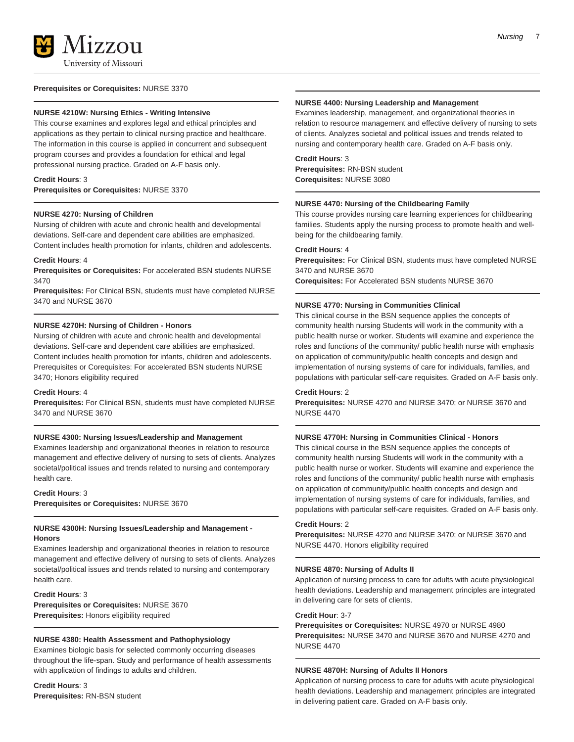

#### **Prerequisites or Corequisites:** NURSE 3370

#### **NURSE 4210W: Nursing Ethics - Writing Intensive**

This course examines and explores legal and ethical principles and applications as they pertain to clinical nursing practice and healthcare. The information in this course is applied in concurrent and subsequent program courses and provides a foundation for ethical and legal professional nursing practice. Graded on A-F basis only.

### **Credit Hours**: 3

**Prerequisites or Corequisites:** NURSE 3370

#### **NURSE 4270: Nursing of Children**

Nursing of children with acute and chronic health and developmental deviations. Self-care and dependent care abilities are emphasized. Content includes health promotion for infants, children and adolescents.

#### **Credit Hours**: 4

**Prerequisites or Corequisites:** For accelerated BSN students NURSE 3470

**Prerequisites:** For Clinical BSN, students must have completed NURSE 3470 and NURSE 3670

#### **NURSE 4270H: Nursing of Children - Honors**

Nursing of children with acute and chronic health and developmental deviations. Self-care and dependent care abilities are emphasized. Content includes health promotion for infants, children and adolescents. Prerequisites or Corequisites: For accelerated BSN students NURSE 3470; Honors eligibility required

#### **Credit Hours**: 4

**Prerequisites:** For Clinical BSN, students must have completed NURSE 3470 and NURSE 3670

### **NURSE 4300: Nursing Issues/Leadership and Management**

Examines leadership and organizational theories in relation to resource management and effective delivery of nursing to sets of clients. Analyzes societal/political issues and trends related to nursing and contemporary health care.

### **Credit Hours**: 3 **Prerequisites or Corequisites:** NURSE 3670

### **NURSE 4300H: Nursing Issues/Leadership and Management - Honors**

Examines leadership and organizational theories in relation to resource management and effective delivery of nursing to sets of clients. Analyzes societal/political issues and trends related to nursing and contemporary health care.

### **Credit Hours**: 3 **Prerequisites or Corequisites:** NURSE 3670 **Prerequisites:** Honors eligibility required

### **NURSE 4380: Health Assessment and Pathophysiology**

Examines biologic basis for selected commonly occurring diseases throughout the life-span. Study and performance of health assessments with application of findings to adults and children.

**Credit Hours**: 3 **Prerequisites:** RN-BSN student

### **NURSE 4400: Nursing Leadership and Management**

Examines leadership, management, and organizational theories in relation to resource management and effective delivery of nursing to sets of clients. Analyzes societal and political issues and trends related to nursing and contemporary health care. Graded on A-F basis only.

### **Credit Hours**: 3

**Prerequisites:** RN-BSN student **Corequisites:** NURSE 3080

#### **NURSE 4470: Nursing of the Childbearing Family**

This course provides nursing care learning experiences for childbearing families. Students apply the nursing process to promote health and wellbeing for the childbearing family.

### **Credit Hours**: 4

**Prerequisites:** For Clinical BSN, students must have completed NURSE 3470 and NURSE 3670 **Corequisites:** For Accelerated BSN students NURSE 3670

### **NURSE 4770: Nursing in Communities Clinical**

This clinical course in the BSN sequence applies the concepts of community health nursing Students will work in the community with a public health nurse or worker. Students will examine and experience the roles and functions of the community/ public health nurse with emphasis on application of community/public health concepts and design and implementation of nursing systems of care for individuals, families, and populations with particular self-care requisites. Graded on A-F basis only.

### **Credit Hours**: 2

**Prerequisites:** NURSE 4270 and NURSE 3470; or NURSE 3670 and NURSE 4470

### **NURSE 4770H: Nursing in Communities Clinical - Honors**

This clinical course in the BSN sequence applies the concepts of community health nursing Students will work in the community with a public health nurse or worker. Students will examine and experience the roles and functions of the community/ public health nurse with emphasis on application of community/public health concepts and design and implementation of nursing systems of care for individuals, families, and populations with particular self-care requisites. Graded on A-F basis only.

#### **Credit Hours**: 2

**Prerequisites:** NURSE 4270 and NURSE 3470; or NURSE 3670 and NURSE 4470. Honors eligibility required

#### **NURSE 4870: Nursing of Adults II**

Application of nursing process to care for adults with acute physiological health deviations. Leadership and management principles are integrated in delivering care for sets of clients.

#### **Credit Hour**: 3-7

**Prerequisites or Corequisites:** NURSE 4970 or NURSE 4980 **Prerequisites:** NURSE 3470 and NURSE 3670 and NURSE 4270 and NURSE 4470

### **NURSE 4870H: Nursing of Adults II Honors**

Application of nursing process to care for adults with acute physiological health deviations. Leadership and management principles are integrated in delivering patient care. Graded on A-F basis only.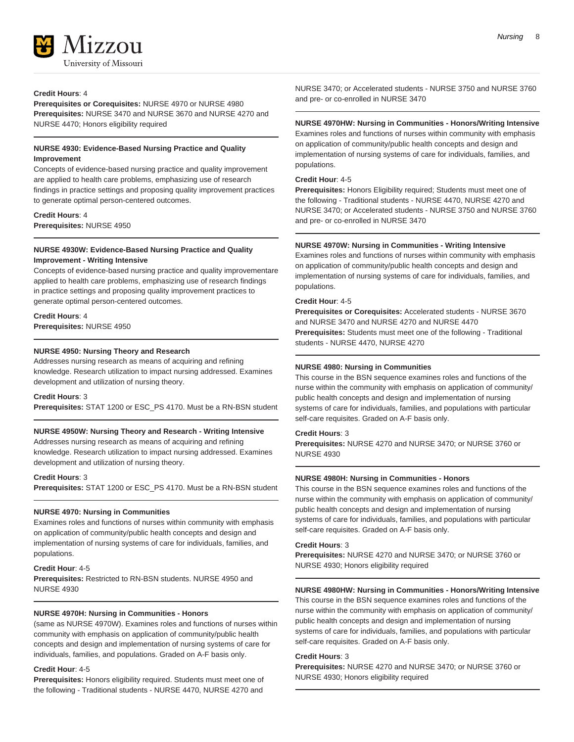

### **Credit Hours**: 4

**Prerequisites or Corequisites:** NURSE 4970 or NURSE 4980 **Prerequisites:** NURSE 3470 and NURSE 3670 and NURSE 4270 and NURSE 4470; Honors eligibility required

### **NURSE 4930: Evidence-Based Nursing Practice and Quality Improvement**

Concepts of evidence-based nursing practice and quality improvement are applied to health care problems, emphasizing use of research findings in practice settings and proposing quality improvement practices to generate optimal person-centered outcomes.

#### **Credit Hours**: 4

**Prerequisites:** NURSE 4950

### **NURSE 4930W: Evidence-Based Nursing Practice and Quality Improvement - Writing Intensive**

Concepts of evidence-based nursing practice and quality improvementare applied to health care problems, emphasizing use of research findings in practice settings and proposing quality improvement practices to generate optimal person-centered outcomes.

### **Credit Hours**: 4 **Prerequisites:** NURSE 4950

### **NURSE 4950: Nursing Theory and Research**

Addresses nursing research as means of acquiring and refining knowledge. Research utilization to impact nursing addressed. Examines development and utilization of nursing theory.

### **Credit Hours**: 3

**Prerequisites:** STAT 1200 or ESC\_PS 4170. Must be a RN-BSN student

### **NURSE 4950W: Nursing Theory and Research - Writing Intensive**

Addresses nursing research as means of acquiring and refining knowledge. Research utilization to impact nursing addressed. Examines development and utilization of nursing theory.

### **Credit Hours**: 3

**Prerequisites:** STAT 1200 or ESC\_PS 4170. Must be a RN-BSN student

### **NURSE 4970: Nursing in Communities**

Examines roles and functions of nurses within community with emphasis on application of community/public health concepts and design and implementation of nursing systems of care for individuals, families, and populations.

### **Credit Hour**: 4-5

**Prerequisites:** Restricted to RN-BSN students. NURSE 4950 and NURSE 4930

### **NURSE 4970H: Nursing in Communities - Honors**

(same as NURSE 4970W). Examines roles and functions of nurses within community with emphasis on application of community/public health concepts and design and implementation of nursing systems of care for individuals, families, and populations. Graded on A-F basis only.

### **Credit Hour**: 4-5

**Prerequisites:** Honors eligibility required. Students must meet one of the following - Traditional students - NURSE 4470, NURSE 4270 and

NURSE 3470; or Accelerated students - NURSE 3750 and NURSE 3760 and pre- or co-enrolled in NURSE 3470

### **NURSE 4970HW: Nursing in Communities - Honors/Writing Intensive**

Examines roles and functions of nurses within community with emphasis on application of community/public health concepts and design and implementation of nursing systems of care for individuals, families, and populations.

### **Credit Hour**: 4-5

**Prerequisites:** Honors Eligibility required; Students must meet one of the following - Traditional students - NURSE 4470, NURSE 4270 and NURSE 3470; or Accelerated students - NURSE 3750 and NURSE 3760 and pre- or co-enrolled in NURSE 3470

#### **NURSE 4970W: Nursing in Communities - Writing Intensive**

Examines roles and functions of nurses within community with emphasis on application of community/public health concepts and design and implementation of nursing systems of care for individuals, families, and populations.

### **Credit Hour**: 4-5

**Prerequisites or Corequisites:** Accelerated students - NURSE 3670 and NURSE 3470 and NURSE 4270 and NURSE 4470 **Prerequisites:** Students must meet one of the following - Traditional students - NURSE 4470, NURSE 4270

#### **NURSE 4980: Nursing in Communities**

This course in the BSN sequence examines roles and functions of the nurse within the community with emphasis on application of community/ public health concepts and design and implementation of nursing systems of care for individuals, families, and populations with particular self-care requisites. Graded on A-F basis only.

### **Credit Hours**: 3

**Prerequisites:** NURSE 4270 and NURSE 3470; or NURSE 3760 or NURSE 4930

### **NURSE 4980H: Nursing in Communities - Honors**

This course in the BSN sequence examines roles and functions of the nurse within the community with emphasis on application of community/ public health concepts and design and implementation of nursing systems of care for individuals, families, and populations with particular self-care requisites. Graded on A-F basis only.

### **Credit Hours**: 3

**Prerequisites:** NURSE 4270 and NURSE 3470; or NURSE 3760 or NURSE 4930; Honors eligibility required

### **NURSE 4980HW: Nursing in Communities - Honors/Writing Intensive**

This course in the BSN sequence examines roles and functions of the nurse within the community with emphasis on application of community/ public health concepts and design and implementation of nursing systems of care for individuals, families, and populations with particular self-care requisites. Graded on A-F basis only.

### **Credit Hours**: 3

**Prerequisites:** NURSE 4270 and NURSE 3470; or NURSE 3760 or NURSE 4930; Honors eligibility required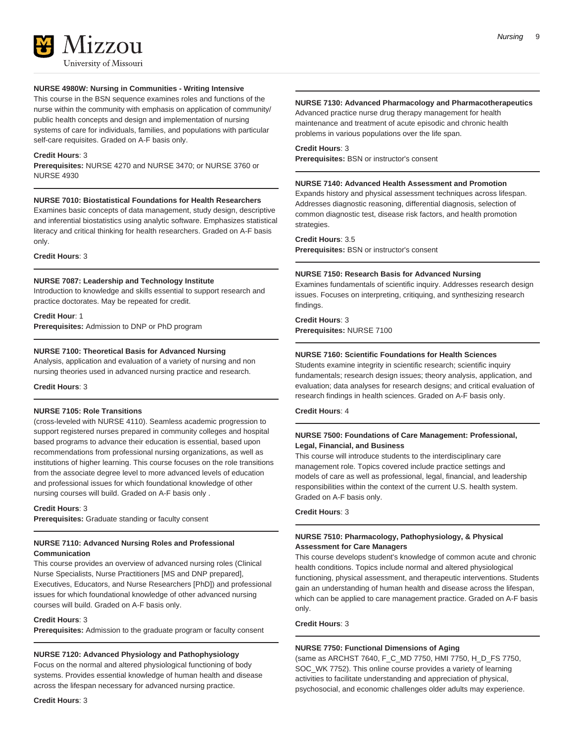

### **NURSE 4980W: Nursing in Communities - Writing Intensive**

This course in the BSN sequence examines roles and functions of the nurse within the community with emphasis on application of community/ public health concepts and design and implementation of nursing systems of care for individuals, families, and populations with particular self-care requisites. Graded on A-F basis only.

### **Credit Hours**: 3

**Prerequisites:** NURSE 4270 and NURSE 3470; or NURSE 3760 or NURSE 4930

### **NURSE 7010: Biostatistical Foundations for Health Researchers**

Examines basic concepts of data management, study design, descriptive and inferential biostatistics using analytic software. Emphasizes statistical literacy and critical thinking for health researchers. Graded on A-F basis only.

**Credit Hours**: 3

### **NURSE 7087: Leadership and Technology Institute**

Introduction to knowledge and skills essential to support research and practice doctorates. May be repeated for credit.

### **Credit Hour**: 1

**Prerequisites:** Admission to DNP or PhD program

### **NURSE 7100: Theoretical Basis for Advanced Nursing**

Analysis, application and evaluation of a variety of nursing and non nursing theories used in advanced nursing practice and research.

### **Credit Hours**: 3

### **NURSE 7105: Role Transitions**

(cross-leveled with NURSE 4110). Seamless academic progression to support registered nurses prepared in community colleges and hospital based programs to advance their education is essential, based upon recommendations from professional nursing organizations, as well as institutions of higher learning. This course focuses on the role transitions from the associate degree level to more advanced levels of education and professional issues for which foundational knowledge of other nursing courses will build. Graded on A-F basis only .

#### **Credit Hours**: 3

**Prerequisites:** Graduate standing or faculty consent

### **NURSE 7110: Advanced Nursing Roles and Professional Communication**

This course provides an overview of advanced nursing roles (Clinical Nurse Specialists, Nurse Practitioners [MS and DNP prepared], Executives, Educators, and Nurse Researchers [PhD]) and professional issues for which foundational knowledge of other advanced nursing courses will build. Graded on A-F basis only.

### **Credit Hours**: 3

**Prerequisites:** Admission to the graduate program or faculty consent

### **NURSE 7120: Advanced Physiology and Pathophysiology**

Focus on the normal and altered physiological functioning of body systems. Provides essential knowledge of human health and disease across the lifespan necessary for advanced nursing practice.

### **Credit Hours**: 3

Nursing 9

### **NURSE 7130: Advanced Pharmacology and Pharmacotherapeutics**

Advanced practice nurse drug therapy management for health maintenance and treatment of acute episodic and chronic health problems in various populations over the life span.

### **Credit Hours**: 3

**Prerequisites:** BSN or instructor's consent

#### **NURSE 7140: Advanced Health Assessment and Promotion**

Expands history and physical assessment techniques across lifespan. Addresses diagnostic reasoning, differential diagnosis, selection of common diagnostic test, disease risk factors, and health promotion strategies.

#### **Credit Hours**: 3.5

**Prerequisites:** BSN or instructor's consent

#### **NURSE 7150: Research Basis for Advanced Nursing**

Examines fundamentals of scientific inquiry. Addresses research design issues. Focuses on interpreting, critiquing, and synthesizing research findings.

### **Credit Hours**: 3

**Prerequisites:** NURSE 7100

### **NURSE 7160: Scientific Foundations for Health Sciences**

Students examine integrity in scientific research; scientific inquiry fundamentals; research design issues; theory analysis, application, and evaluation; data analyses for research designs; and critical evaluation of research findings in health sciences. Graded on A-F basis only.

**Credit Hours**: 4

### **NURSE 7500: Foundations of Care Management: Professional, Legal, Financial, and Business**

This course will introduce students to the interdisciplinary care management role. Topics covered include practice settings and models of care as well as professional, legal, financial, and leadership responsibilities within the context of the current U.S. health system. Graded on A-F basis only.

### **Credit Hours**: 3

### **NURSE 7510: Pharmacology, Pathophysiology, & Physical Assessment for Care Managers**

This course develops student's knowledge of common acute and chronic health conditions. Topics include normal and altered physiological functioning, physical assessment, and therapeutic interventions. Students gain an understanding of human health and disease across the lifespan, which can be applied to care management practice. Graded on A-F basis only.

**Credit Hours**: 3

### **NURSE 7750: Functional Dimensions of Aging**

(same as ARCHST 7640, F\_C\_MD 7750, HMI 7750, H\_D\_FS 7750, SOC\_WK 7752). This online course provides a variety of learning activities to facilitate understanding and appreciation of physical, psychosocial, and economic challenges older adults may experience.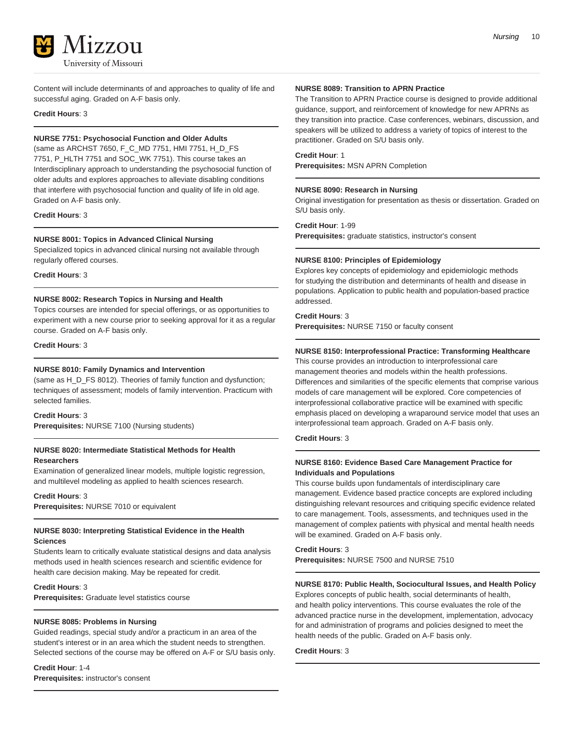

Content will include determinants of and approaches to quality of life and successful aging. Graded on A-F basis only.

**Credit Hours**: 3

### **NURSE 7751: Psychosocial Function and Older Adults**

(same as ARCHST 7650, F\_C\_MD 7751, HMI 7751, H\_D\_FS 7751, P\_HLTH 7751 and SOC\_WK 7751). This course takes an Interdisciplinary approach to understanding the psychosocial function of older adults and explores approaches to alleviate disabling conditions that interfere with psychosocial function and quality of life in old age. Graded on A-F basis only.

### **Credit Hours**: 3

### **NURSE 8001: Topics in Advanced Clinical Nursing**

Specialized topics in advanced clinical nursing not available through regularly offered courses.

**Credit Hours**: 3

### **NURSE 8002: Research Topics in Nursing and Health**

Topics courses are intended for special offerings, or as opportunities to experiment with a new course prior to seeking approval for it as a regular course. Graded on A-F basis only.

**Credit Hours**: 3

### **NURSE 8010: Family Dynamics and Intervention**

(same as H\_D\_FS 8012). Theories of family function and dysfunction; techniques of assessment; models of family intervention. Practicum with selected families.

### **Credit Hours**: 3

**Prerequisites:** NURSE 7100 (Nursing students)

### **NURSE 8020: Intermediate Statistical Methods for Health Researchers**

Examination of generalized linear models, multiple logistic regression, and multilevel modeling as applied to health sciences research.

### **Credit Hours**: 3

**Prerequisites:** NURSE 7010 or equivalent

### **NURSE 8030: Interpreting Statistical Evidence in the Health Sciences**

Students learn to critically evaluate statistical designs and data analysis methods used in health sciences research and scientific evidence for health care decision making. May be repeated for credit.

### **Credit Hours**: 3

**Prerequisites:** Graduate level statistics course

### **NURSE 8085: Problems in Nursing**

Guided readings, special study and/or a practicum in an area of the student's interest or in an area which the student needs to strengthen. Selected sections of the course may be offered on A-F or S/U basis only.

**Credit Hour**: 1-4 **Prerequisites:** instructor's consent

### **NURSE 8089: Transition to APRN Practice**

The Transition to APRN Practice course is designed to provide additional guidance, support, and reinforcement of knowledge for new APRNs as they transition into practice. Case conferences, webinars, discussion, and speakers will be utilized to address a variety of topics of interest to the practitioner. Graded on S/U basis only.

### **Credit Hour**: 1

**Prerequisites:** MSN APRN Completion

### **NURSE 8090: Research in Nursing**

Original investigation for presentation as thesis or dissertation. Graded on S/U basis only.

### **Credit Hour**: 1-99

**Prerequisites:** graduate statistics, instructor's consent

### **NURSE 8100: Principles of Epidemiology**

Explores key concepts of epidemiology and epidemiologic methods for studying the distribution and determinants of health and disease in populations. Application to public health and population-based practice addressed.

### **Credit Hours**: 3

**Prerequisites:** NURSE 7150 or faculty consent

### **NURSE 8150: Interprofessional Practice: Transforming Healthcare**

This course provides an introduction to interprofessional care management theories and models within the health professions. Differences and similarities of the specific elements that comprise various models of care management will be explored. Core competencies of interprofessional collaborative practice will be examined with specific emphasis placed on developing a wraparound service model that uses an interprofessional team approach. Graded on A-F basis only.

### **Credit Hours**: 3

### **NURSE 8160: Evidence Based Care Management Practice for Individuals and Populations**

This course builds upon fundamentals of interdisciplinary care management. Evidence based practice concepts are explored including distinguishing relevant resources and critiquing specific evidence related to care management. Tools, assessments, and techniques used in the management of complex patients with physical and mental health needs will be examined. Graded on A-F basis only.

### **Credit Hours**: 3

**Prerequisites:** NURSE 7500 and NURSE 7510

### **NURSE 8170: Public Health, Sociocultural Issues, and Health Policy**

Explores concepts of public health, social determinants of health, and health policy interventions. This course evaluates the role of the advanced practice nurse in the development, implementation, advocacy for and administration of programs and policies designed to meet the health needs of the public. Graded on A-F basis only.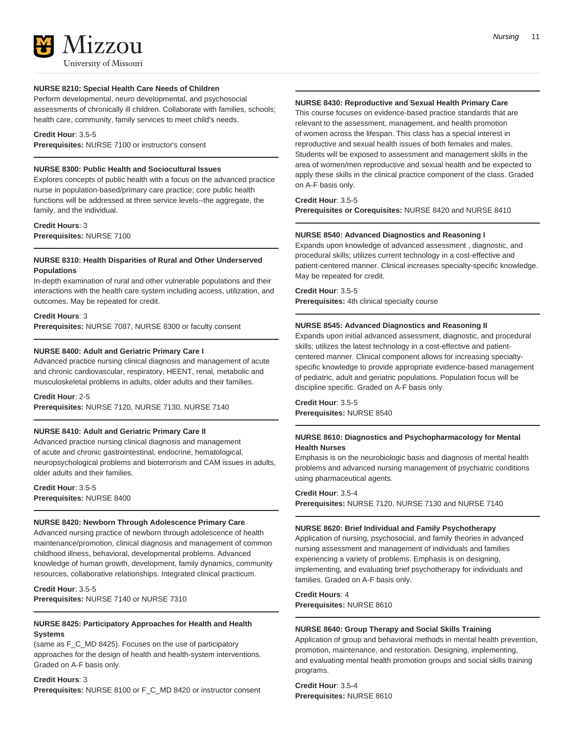

**NURSE 8210: Special Health Care Needs of Children** Perform developmental, neuro developmental, and psychosocial assessments of chronically ill children. Collaborate with families, schools; health care, community, family services to meet child's needs.

**Credit Hour**: 3.5-5

**Prerequisites:** NURSE 7100 or instructor's consent

### **NURSE 8300: Public Health and Sociocultural Issues**

Explores concepts of public health with a focus on the advanced practice nurse in population-based/primary care practice; core public health functions will be addressed at three service levels--the aggregate, the family, and the individual.

**Credit Hours**: 3 **Prerequisites:** NURSE 7100

### **NURSE 8310: Health Disparities of Rural and Other Underserved Populations**

In-depth examination of rural and other vulnerable populations and their interactions with the health care system including access, utilization, and outcomes. May be repeated for credit.

### **Credit Hours**: 3

**Prerequisites:** NURSE 7087, NURSE 8300 or faculty consent

### **NURSE 8400: Adult and Geriatric Primary Care I**

Advanced practice nursing clinical diagnosis and management of acute and chronic cardiovascular, respiratory, HEENT, renal, metabolic and musculoskeletal problems in adults, older adults and their families.

**Credit Hour**: 2-5

**Prerequisites:** NURSE 7120, NURSE 7130, NURSE 7140

### **NURSE 8410: Adult and Geriatric Primary Care II**

Advanced practice nursing clinical diagnosis and management of acute and chronic gastrointestinal, endocrine, hematological, neuropsychological problems and bioterrorism and CAM issues in adults, older adults and their families.

**Credit Hour**: 3.5-5 **Prerequisites:** NURSE 8400

### **NURSE 8420: Newborn Through Adolescence Primary Care**

Advanced nursing practice of newborn through adolescence of health maintenance/promotion, clinical diagnosis and management of common childhood illness, behavioral, developmental problems. Advanced knowledge of human growth, development, family dynamics, community resources, collaborative relationships. Integrated clinical practicum.

**Credit Hour**: 3.5-5 **Prerequisites:** NURSE 7140 or NURSE 7310

### **NURSE 8425: Participatory Approaches for Health and Health Systems**

(same as F\_C\_MD 8425). Focuses on the use of participatory approaches for the design of health and health-system interventions. Graded on A-F basis only.

### **Credit Hours**: 3

**Prerequisites:** NURSE 8100 or F\_C\_MD 8420 or instructor consent

### **NURSE 8430: Reproductive and Sexual Health Primary Care**

This course focuses on evidence-based practice standards that are relevant to the assessment, management, and health promotion of women across the lifespan. This class has a special interest in reproductive and sexual health issues of both females and males. Students will be exposed to assessment and management skills in the area of women/men reproductive and sexual health and be expected to apply these skills in the clinical practice component of the class. Graded on A-F basis only.

### **Credit Hour**: 3.5-5

**Prerequisites or Corequisites:** NURSE 8420 and NURSE 8410

### **NURSE 8540: Advanced Diagnostics and Reasoning I**

Expands upon knowledge of advanced assessment , diagnostic, and procedural skills; utilizes current technology in a cost-effective and patient-centered manner. Clinical increases specialty-specific knowledge. May be repeated for credit.

**Credit Hour**: 3.5-5 **Prerequisites:** 4th clinical specialty course

### **NURSE 8545: Advanced Diagnostics and Reasoning II**

Expands upon initial advanced assessment, diagnostic, and procedural skills; utilizes the latest technology in a cost-effective and patientcentered manner. Clinical component allows for increasing specialtyspecific knowledge to provide appropriate evidence-based management of pediatric, adult and geriatric populations. Population focus will be discipline specific. Graded on A-F basis only.

**Credit Hour**: 3.5-5 **Prerequisites:** NURSE 8540

### **NURSE 8610: Diagnostics and Psychopharmacology for Mental Health Nurses**

Emphasis is on the neurobiologic basis and diagnosis of mental health problems and advanced nursing management of psychiatric conditions using pharmaceutical agents.

### **Credit Hour**: 3.5-4

**Prerequisites:** NURSE 7120, NURSE 7130 and NURSE 7140

### **NURSE 8620: Brief Individual and Family Psychotherapy**

Application of nursing, psychosocial, and family theories in advanced nursing assessment and management of individuals and families experiencing a variety of problems. Emphasis is on designing, implementing, and evaluating brief psychotherapy for individuals and families. Graded on A-F basis only.

**Credit Hours**: 4 **Prerequisites:** NURSE 8610

### **NURSE 8640: Group Therapy and Social Skills Training**

Application of group and behavioral methods in mental health prevention, promotion, maintenance, and restoration. Designing, implementing, and evaluating mental health promotion groups and social skills training programs.

**Credit Hour**: 3.5-4 **Prerequisites:** NURSE 8610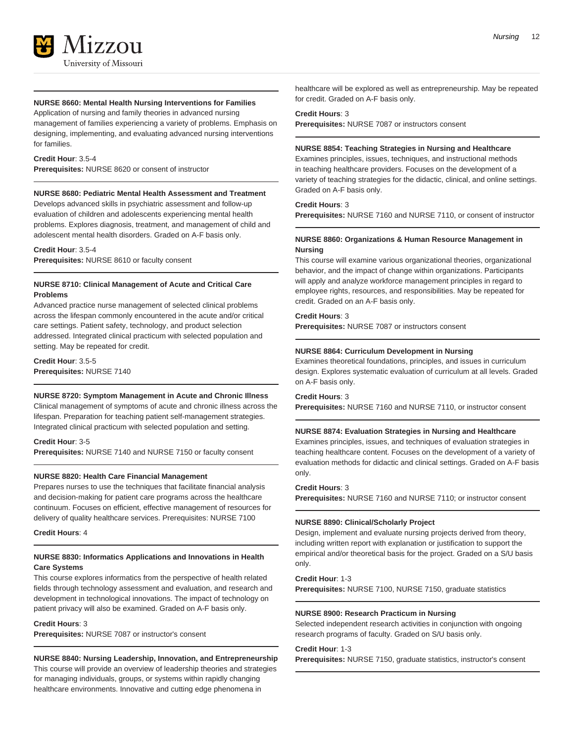### **NURSE 8660: Mental Health Nursing Interventions for Families**

Application of nursing and family theories in advanced nursing management of families experiencing a variety of problems. Emphasis on designing, implementing, and evaluating advanced nursing interventions for families.

### **Credit Hour**: 3.5-4

**Prerequisites:** NURSE 8620 or consent of instructor

### **NURSE 8680: Pediatric Mental Health Assessment and Treatment**

Develops advanced skills in psychiatric assessment and follow-up evaluation of children and adolescents experiencing mental health problems. Explores diagnosis, treatment, and management of child and adolescent mental health disorders. Graded on A-F basis only.

### **Credit Hour**: 3.5-4

**Prerequisites:** NURSE 8610 or faculty consent

### **NURSE 8710: Clinical Management of Acute and Critical Care Problems**

Advanced practice nurse management of selected clinical problems across the lifespan commonly encountered in the acute and/or critical care settings. Patient safety, technology, and product selection addressed. Integrated clinical practicum with selected population and setting. May be repeated for credit.

**Credit Hour**: 3.5-5 **Prerequisites:** NURSE 7140

### **NURSE 8720: Symptom Management in Acute and Chronic Illness**

Clinical management of symptoms of acute and chronic illness across the lifespan. Preparation for teaching patient self-management strategies. Integrated clinical practicum with selected population and setting.

### **Credit Hour**: 3-5

**Prerequisites:** NURSE 7140 and NURSE 7150 or faculty consent

### **NURSE 8820: Health Care Financial Management**

Prepares nurses to use the techniques that facilitate financial analysis and decision-making for patient care programs across the healthcare continuum. Focuses on efficient, effective management of resources for delivery of quality healthcare services. Prerequisites: NURSE 7100

**Credit Hours**: 4

### **NURSE 8830: Informatics Applications and Innovations in Health Care Systems**

This course explores informatics from the perspective of health related fields through technology assessment and evaluation, and research and development in technological innovations. The impact of technology on patient privacy will also be examined. Graded on A-F basis only.

### **Credit Hours**: 3

**Prerequisites:** NURSE 7087 or instructor's consent

## **NURSE 8840: Nursing Leadership, Innovation, and Entrepreneurship**

This course will provide an overview of leadership theories and strategies for managing individuals, groups, or systems within rapidly changing healthcare environments. Innovative and cutting edge phenomena in

healthcare will be explored as well as entrepreneurship. May be repeated for credit. Graded on A-F basis only.

#### **Credit Hours**: 3

**Prerequisites:** NURSE 7087 or instructors consent

### **NURSE 8854: Teaching Strategies in Nursing and Healthcare**

Examines principles, issues, techniques, and instructional methods in teaching healthcare providers. Focuses on the development of a variety of teaching strategies for the didactic, clinical, and online settings. Graded on A-F basis only.

### **Credit Hours**: 3

**Prerequisites:** NURSE 7160 and NURSE 7110, or consent of instructor

### **NURSE 8860: Organizations & Human Resource Management in Nursing**

This course will examine various organizational theories, organizational behavior, and the impact of change within organizations. Participants will apply and analyze workforce management principles in regard to employee rights, resources, and responsibilities. May be repeated for credit. Graded on an A-F basis only.

### **Credit Hours**: 3

**Prerequisites:** NURSE 7087 or instructors consent

### **NURSE 8864: Curriculum Development in Nursing**

Examines theoretical foundations, principles, and issues in curriculum design. Explores systematic evaluation of curriculum at all levels. Graded on A-F basis only.

#### **Credit Hours**: 3

**Prerequisites:** NURSE 7160 and NURSE 7110, or instructor consent

### **NURSE 8874: Evaluation Strategies in Nursing and Healthcare**

Examines principles, issues, and techniques of evaluation strategies in teaching healthcare content. Focuses on the development of a variety of evaluation methods for didactic and clinical settings. Graded on A-F basis only.

#### **Credit Hours**: 3

**Prerequisites:** NURSE 7160 and NURSE 7110; or instructor consent

#### **NURSE 8890: Clinical/Scholarly Project**

Design, implement and evaluate nursing projects derived from theory, including written report with explanation or justification to support the empirical and/or theoretical basis for the project. Graded on a S/U basis only.

### **Credit Hour**: 1-3

**Prerequisites:** NURSE 7100, NURSE 7150, graduate statistics

### **NURSE 8900: Research Practicum in Nursing**

Selected independent research activities in conjunction with ongoing research programs of faculty. Graded on S/U basis only.

### **Credit Hour**: 1-3

**Prerequisites:** NURSE 7150, graduate statistics, instructor's consent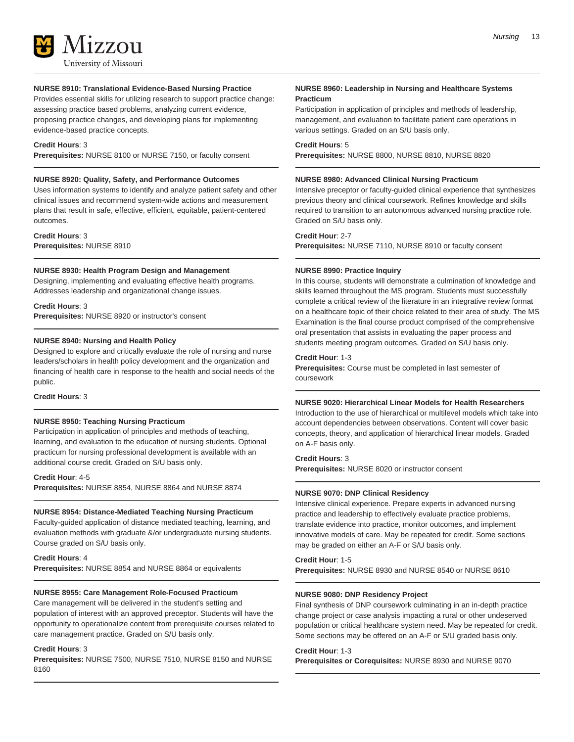

### **NURSE 8910: Translational Evidence-Based Nursing Practice**

Provides essential skills for utilizing research to support practice change: assessing practice based problems, analyzing current evidence, proposing practice changes, and developing plans for implementing evidence-based practice concepts.

### **Credit Hours**: 3

**Prerequisites:** NURSE 8100 or NURSE 7150, or faculty consent

### **NURSE 8920: Quality, Safety, and Performance Outcomes**

Uses information systems to identify and analyze patient safety and other clinical issues and recommend system-wide actions and measurement plans that result in safe, effective, efficient, equitable, patient-centered outcomes.

**Credit Hours**: 3 **Prerequisites:** NURSE 8910

### **NURSE 8930: Health Program Design and Management**

Designing, implementing and evaluating effective health programs. Addresses leadership and organizational change issues.

### **Credit Hours**: 3

**Prerequisites:** NURSE 8920 or instructor's consent

### **NURSE 8940: Nursing and Health Policy**

Designed to explore and critically evaluate the role of nursing and nurse leaders/scholars in health policy development and the organization and financing of health care in response to the health and social needs of the public.

### **Credit Hours**: 3

### **NURSE 8950: Teaching Nursing Practicum**

Participation in application of principles and methods of teaching, learning, and evaluation to the education of nursing students. Optional practicum for nursing professional development is available with an additional course credit. Graded on S/U basis only.

### **Credit Hour**: 4-5

**Prerequisites:** NURSE 8854, NURSE 8864 and NURSE 8874

### **NURSE 8954: Distance-Mediated Teaching Nursing Practicum**

Faculty-guided application of distance mediated teaching, learning, and evaluation methods with graduate &/or undergraduate nursing students. Course graded on S/U basis only.

### **Credit Hours**: 4

**Prerequisites:** NURSE 8854 and NURSE 8864 or equivalents

### **NURSE 8955: Care Management Role-Focused Practicum**

Care management will be delivered in the student's setting and population of interest with an approved preceptor. Students will have the opportunity to operationalize content from prerequisite courses related to care management practice. Graded on S/U basis only.

### **Credit Hours**: 3

**Prerequisites:** NURSE 7500, NURSE 7510, NURSE 8150 and NURSE 8160

### **NURSE 8960: Leadership in Nursing and Healthcare Systems Practicum**

Participation in application of principles and methods of leadership, management, and evaluation to facilitate patient care operations in various settings. Graded on an S/U basis only.

### **Credit Hours**: 5

**Prerequisites:** NURSE 8800, NURSE 8810, NURSE 8820

### **NURSE 8980: Advanced Clinical Nursing Practicum**

Intensive preceptor or faculty-guided clinical experience that synthesizes previous theory and clinical coursework. Refines knowledge and skills required to transition to an autonomous advanced nursing practice role. Graded on S/U basis only.

### **Credit Hour**: 2-7

**Prerequisites:** NURSE 7110, NURSE 8910 or faculty consent

### **NURSE 8990: Practice Inquiry**

In this course, students will demonstrate a culmination of knowledge and skills learned throughout the MS program. Students must successfully complete a critical review of the literature in an integrative review format on a healthcare topic of their choice related to their area of study. The MS Examination is the final course product comprised of the comprehensive oral presentation that assists in evaluating the paper process and students meeting program outcomes. Graded on S/U basis only.

### **Credit Hour**: 1-3

**Prerequisites:** Course must be completed in last semester of coursework

### **NURSE 9020: Hierarchical Linear Models for Health Researchers**

Introduction to the use of hierarchical or multilevel models which take into account dependencies between observations. Content will cover basic concepts, theory, and application of hierarchical linear models. Graded on A-F basis only.

### **Credit Hours**: 3

**Prerequisites:** NURSE 8020 or instructor consent

### **NURSE 9070: DNP Clinical Residency**

Intensive clinical experience. Prepare experts in advanced nursing practice and leadership to effectively evaluate practice problems, translate evidence into practice, monitor outcomes, and implement innovative models of care. May be repeated for credit. Some sections may be graded on either an A-F or S/U basis only.

### **Credit Hour**: 1-5

**Prerequisites:** NURSE 8930 and NURSE 8540 or NURSE 8610

### **NURSE 9080: DNP Residency Project**

Final synthesis of DNP coursework culminating in an in-depth practice change project or case analysis impacting a rural or other undeserved population or critical healthcare system need. May be repeated for credit. Some sections may be offered on an A-F or S/U graded basis only.

#### **Credit Hour**: 1-3

**Prerequisites or Corequisites:** NURSE 8930 and NURSE 9070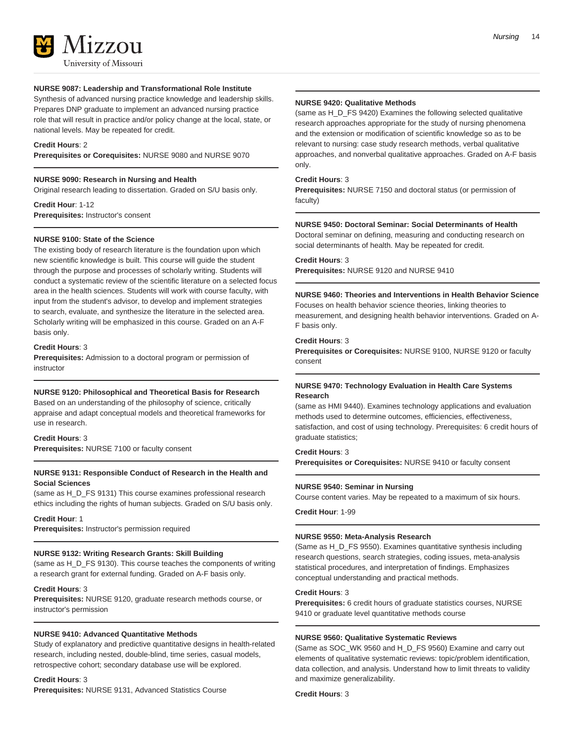

### **NURSE 9087: Leadership and Transformational Role Institute**

Synthesis of advanced nursing practice knowledge and leadership skills. Prepares DNP graduate to implement an advanced nursing practice role that will result in practice and/or policy change at the local, state, or national levels. May be repeated for credit.

### **Credit Hours**: 2

**Prerequisites or Corequisites:** NURSE 9080 and NURSE 9070

### **NURSE 9090: Research in Nursing and Health**

Original research leading to dissertation. Graded on S/U basis only.

**Credit Hour**: 1-12 **Prerequisites:** Instructor's consent

### **NURSE 9100: State of the Science**

The existing body of research literature is the foundation upon which new scientific knowledge is built. This course will guide the student through the purpose and processes of scholarly writing. Students will conduct a systematic review of the scientific literature on a selected focus area in the health sciences. Students will work with course faculty, with input from the student's advisor, to develop and implement strategies to search, evaluate, and synthesize the literature in the selected area. Scholarly writing will be emphasized in this course. Graded on an A-F basis only.

#### **Credit Hours**: 3

**Prerequisites:** Admission to a doctoral program or permission of instructor

### **NURSE 9120: Philosophical and Theoretical Basis for Research**

Based on an understanding of the philosophy of science, critically appraise and adapt conceptual models and theoretical frameworks for use in research.

### **Credit Hours**: 3

**Prerequisites:** NURSE 7100 or faculty consent

### **NURSE 9131: Responsible Conduct of Research in the Health and Social Sciences**

(same as H\_D\_FS 9131) This course examines professional research ethics including the rights of human subjects. Graded on S/U basis only.

### **Credit Hour**: 1

**Prerequisites:** Instructor's permission required

#### **NURSE 9132: Writing Research Grants: Skill Building**

(same as H\_D\_FS 9130). This course teaches the components of writing a research grant for external funding. Graded on A-F basis only.

### **Credit Hours**: 3

**Prerequisites:** NURSE 9120, graduate research methods course, or instructor's permission

### **NURSE 9410: Advanced Quantitative Methods**

Study of explanatory and predictive quantitative designs in health-related research, including nested, double-blind, time series, casual models, retrospective cohort; secondary database use will be explored.

#### **Credit Hours**: 3

**Prerequisites:** NURSE 9131, Advanced Statistics Course

### **NURSE 9420: Qualitative Methods**

(same as H\_D\_FS 9420) Examines the following selected qualitative research approaches appropriate for the study of nursing phenomena and the extension or modification of scientific knowledge so as to be relevant to nursing: case study research methods, verbal qualitative approaches, and nonverbal qualitative approaches. Graded on A-F basis only.

### **Credit Hours**: 3

**Prerequisites:** NURSE 7150 and doctoral status (or permission of faculty)

#### **NURSE 9450: Doctoral Seminar: Social Determinants of Health**

Doctoral seminar on defining, measuring and conducting research on social determinants of health. May be repeated for credit.

### **Credit Hours**: 3

**Prerequisites:** NURSE 9120 and NURSE 9410

### **NURSE 9460: Theories and Interventions in Health Behavior Science**

Focuses on health behavior science theories, linking theories to measurement, and designing health behavior interventions. Graded on A-F basis only.

### **Credit Hours**: 3

**Prerequisites or Corequisites:** NURSE 9100, NURSE 9120 or faculty consent

### **NURSE 9470: Technology Evaluation in Health Care Systems Research**

(same as HMI 9440). Examines technology applications and evaluation methods used to determine outcomes, efficiencies, effectiveness, satisfaction, and cost of using technology. Prerequisites: 6 credit hours of graduate statistics;

### **Credit Hours**: 3

**Prerequisites or Corequisites:** NURSE 9410 or faculty consent

### **NURSE 9540: Seminar in Nursing**

Course content varies. May be repeated to a maximum of six hours.

**Credit Hour**: 1-99

#### **NURSE 9550: Meta-Analysis Research**

(Same as H\_D\_FS 9550). Examines quantitative synthesis including research questions, search strategies, coding issues, meta-analysis statistical procedures, and interpretation of findings. Emphasizes conceptual understanding and practical methods.

### **Credit Hours**: 3

**Prerequisites:** 6 credit hours of graduate statistics courses, NURSE 9410 or graduate level quantitative methods course

### **NURSE 9560: Qualitative Systematic Reviews**

(Same as SOC\_WK 9560 and H\_D\_FS 9560) Examine and carry out elements of qualitative systematic reviews: topic/problem identification, data collection, and analysis. Understand how to limit threats to validity and maximize generalizability.